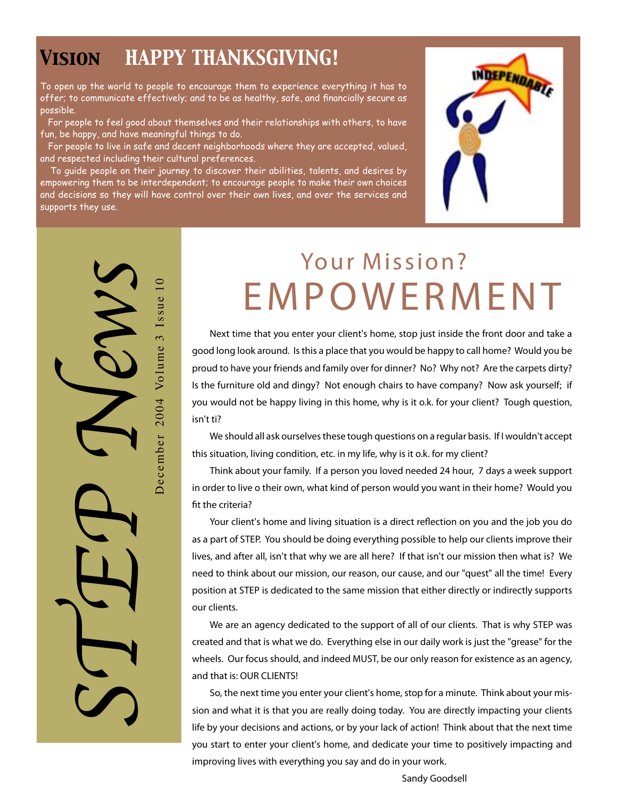### *Vision HAPPY THANKSGIVING!*

To open up the world to people to encourage them to experience everything it has to offer; to communicate effectively; and to be as healthy, safe, and financially secure as possible.

For people to feel good about themselves and their relationships with others, to have fun, be happy, and have meaningful things to do.

 For people to live in safe and decent neighborhoods where they are accepted, valued, and respected including their cultural preferences.

 To guide people on their journey to discover their abilities, talents, and desires by empowering them to be interdependent; to encourage people to make their own choices and decisions so they will have control over their own lives, and over the services and supports they use.



STEP News Volume 3 Issue 10 December 2004 Volume 3 Issue 10  $2004$ December

# Your Mission? **E M P O W E R M E N T**

**Next time that you enter your client's home, stop just inside the front door and take a good long look around. Is this a place that you would be happy to call home? Would you be proud to have your friends and family over for dinner? No? Why not? Are the carpets dirty? Is the furniture old and dingy? Not enough chairs to have company? Now ask yourself; if you would not be happy living in this home, why is it o.k. for your client? Tough question, isn't ti?**

**We should all ask ourselves these tough questions on a regular basis. If I wouldn't accept this situation, living condition, etc. in my life, why is it o.k. for my client?**

**Think about your family. If a person you loved needed 24 hour, 7 days a week support in order to live o their own, what kind of person would you want in their home? Would you fit the criteria?**

**Your client's home and living situation is a direct reflection on you and the job you do as a part of STEP. You should be doing everything possible to help our clients improve their lives, and after all, isn't that why we are all here? If that isn't our mission then what is? We need to think about our mission, our reason, our cause, and our "quest" all the time! Every position at STEP is dedicated to the same mission that either directly or indirectly supports our clients.**

**We are an agency dedicated to the support of all of our clients. That is why STEP was created and that is what we do. Everything else in our daily work is just the "grease" for the wheels. Our focus should, and indeed MUST, be our only reason for existence as an agency, and that is: OUR CLIENTS!**

**So, the next time you enter your client's home, stop for a minute. Think about your mission and what it is that you are really doing today. You are directly impacting your clients life by your decisions and actions, or by your lack of action! Think about that the next time you start to enter your client's home, and dedicate your time to positively impacting and improving lives with everything you say and do in your work.**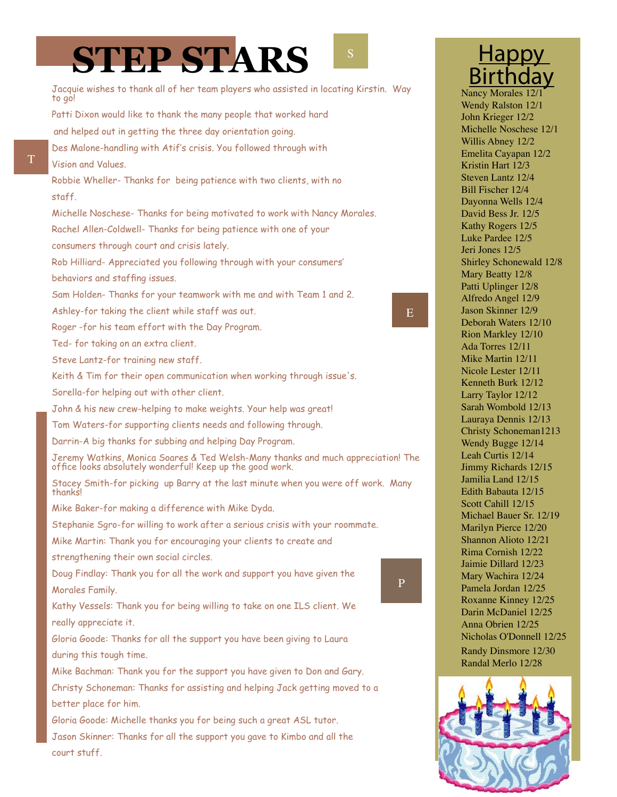# **STEP STARS**

E

P

Jacquie wishes to thank all of her team players who assisted in locating Kirstin. Way to go! Patti Dixon would like to thank the many people that worked hard and helped out in getting the three day orientation going. Des Malone-handling with Atif's crisis. You followed through with Vision and Values. Robbie Wheller- Thanks for being patience with two clients, with no staff. Michelle Noschese- Thanks for being motivated to work with Nancy Morales. Rachel Allen-Coldwell- Thanks for being patience with one of your consumers through court and crisis lately. Rob Hilliard- Appreciated you following through with your consumers' behaviors and staffing issues. Sam Holden- Thanks for your teamwork with me and with Team 1 and 2. Ashley-for taking the client while staff was out. Roger -for his team effort with the Day Program. Ted- for taking on an extra client. Steve Lantz-for training new staff. Keith & Tim for their open communication when working through issue's. Sorella-for helping out with other client. John & his new crew-helping to make weights. Your help was great! Tom Waters-for supporting clients needs and following through. Darrin-A big thanks for subbing and helping Day Program. Jeremy Watkins, Monica Soares & Ted Welsh-Many thanks and much appreciation! The office looks absolutely wonderful! Keep up the good work. Stacey Smith-for picking up Barry at the last minute when you were off work. Many thanks! Mike Baker-for making a difference with Mike Dyda. Stephanie Sgro-for willing to work after a serious crisis with your roommate. Mike Martin: Thank you for encouraging your clients to create and strengthening their own social circles. Doug Findlay: Thank you for all the work and support you have given the Morales Family. Kathy Vessels: Thank you for being willing to take on one ILS client. We really appreciate it. Gloria Goode: Thanks for all the support you have been giving to Laura during this tough time. Mike Bachman: Thank you for the support you have given to Don and Gary. Christy Schoneman: Thanks for assisting and helping Jack getting moved to a better place for him. Gloria Goode: Michelle thanks you for being such a great ASL tutor. Jason Skinner: Thanks for all the support you gave to Kimbo and all the court stuff.

#### **Happy Birthday** Nancy Morales 12

Wendy Ralston 12/1 John Krieger 12/2 Michelle Noschese 12/1 Willis Abney 12/2 Emelita Cayapan 12/2 Kristin Hart 12/3 Steven Lantz 12/4 Bill Fischer 12/4 Dayonna Wells 12/4 David Bess Jr. 12/5 Kathy Rogers 12/5 Luke Pardee 12/5 Jeri Jones 12/5 Shirley Schonewald 12/8 Mary Beatty 12/8 Patti Uplinger 12/8 Alfredo Angel 12/9 Jason Skinner 12/9 Deborah Waters 12/10 Rion Markley 12/10 Ada Torres 12/11 Mike Martin 12/11 Nicole Lester 12/11 Kenneth Burk 12/12 Larry Taylor 12/12 Sarah Wombold 12/13 Lauraya Dennis 12/13 Christy Schoneman1213 Wendy Bugge 12/14 Leah Curtis 12/14 Jimmy Richards 12/15 Jamilia Land 12/15 Edith Babauta 12/15 Scott Cahill 12/15 Michael Bauer Sr. 12/19 Marilyn Pierce 12/20 Shannon Alioto 12/21 Rima Cornish 12/22 Jaimie Dillard 12/23 Mary Wachira 12/24 Pamela Jordan 12/25 Roxanne Kinney 12/25 Darin McDaniel 12/25 Anna Obrien 12/25 Nicholas O'Donnell 12/25 Randy Dinsmore 12/30 Randal Merlo 12/28

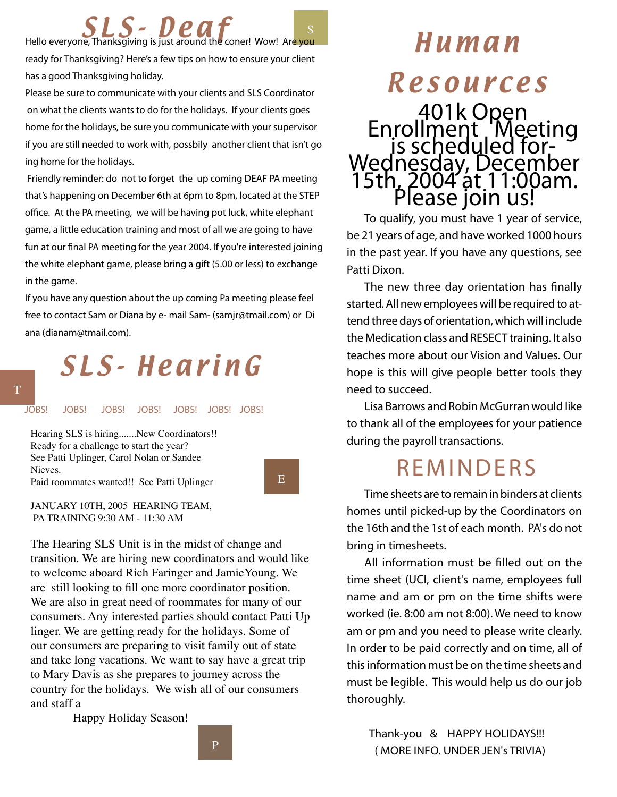Hello everyone, Thanksgiving is just around the coner! Wow! Are you **ready for Thanksgiving? Here's a few tips on how to ensure your client has a good Thanksgiving holiday.** 

**Please be sure to communicate with your clients and SLS Coordinator on what the clients wants to do for the holidays. If your clients goes home for the holidays, be sure you communicate with your supervisor if you are still needed to work with, possbily another client that isn't go ing home for the holidays.** 

 **Friendly reminder: do not to forget the up coming DEAF PA meeting that's happening on December 6th at 6pm to 8pm, located at the STEP office. At the PA meeting, we will be having pot luck, white elephant game, a little education training and most of all we are going to have fun at our final PA meeting for the year 2004. If you're interested joining the white elephant game, please bring a gift (5.00 or less) to exchange in the game.** 

**If you have any question about the up coming Pa meeting please feel free to contact Sam or Diana by e- mail Sam- (samjr@tmail.com) or Di ana (dianam@tmail.com).** 

# SL S- He ar i n G

*JOBS! JOBS! JOBS! JOBS! JOBS! JOBS! JOBS!*

Hearing SLS is hiring.......New Coordinators!! Ready for a challenge to start the year? See Patti Uplinger, Carol Nolan or Sandee Nieves. Paid roommates wanted!! See Patti Uplinger

#### E

JANUARY 10TH, 2005 HEARING TEAM, PA TRAINING 9:30 AM - 11:30 AM

The Hearing SLS Unit is in the midst of change and transition. We are hiring new coordinators and would like to welcome aboard Rich Faringer and JamieYoung. We are still looking to fill one more coordinator position. We are also in great need of roommates for many of our consumers. Any interested parties should contact Patti Up linger. We are getting ready for the holidays. Some of our consumers are preparing to visit family out of state and take long vacations. We want to say have a great trip to Mary Davis as she prepares to journey across the country for the holidays. We wish all of our consumers and staff a

Happy Holiday Season!

Human

## **Resources**

# *401k Open Enrollment Meeting is scheduled for- Wednesday, December 15th, 2004 at 11:00am. Please join us!*

**To qualify, you must have 1 year of service, be 21 years of age, and have worked 1000 hours in the past year. If you have any questions, see Patti Dixon.**

**The new three day orientation has finally started. All new employees will be required to attend three days of orientation, which will include the Medication class and RESECT training. It also teaches more about our Vision and Values. Our hope is this will give people better tools they need to succeed.**

**Lisa Barrows and Robin McGurran would like to thank all of the employees for your patience during the payroll transactions.**

## **REMINDERS**

**Time sheets are to remain in binders at clients homes until picked-up by the Coordinators on the 16th and the 1st of each month. PA's do not bring in timesheets.**

**All information must be filled out on the time sheet (UCI, client's name, employees full name and am or pm on the time shifts were worked (ie. 8:00 am not 8:00). We need to know am or pm and you need to please write clearly. In order to be paid correctly and on time, all of this information must be on the time sheets and must be legible. This would help us do our job thoroughly.**

 **Thank-you & HAPPY HOLIDAYS!!! ( MORE INFO. UNDER JEN's TRIVIA)**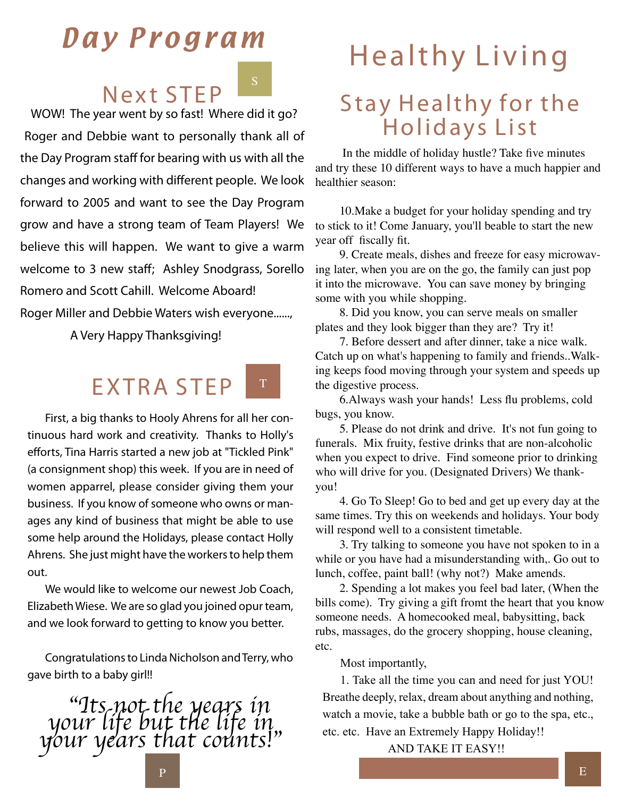## Day Program

## Next STEP

S

 *WOW! The year went by so fast! Where did it go? Roger and Debbie want to personally thank all of the Day Program staff for bearing with us with all the changes and working with different people. We look forward to 2005 and want to see the Day Program grow and have a strong team of Team Players! We believe this will happen. We want to give a warm welcome to 3 new staff; Ashley Snodgrass, Sorello Romero and Scott Cahill. Welcome Aboard! Roger Miller and Debbie Waters wish everyone......,*

 *A Very Happy Thanksgiving!* 

#### EXTRA STEP T

**First, a big thanks to Hooly Ahrens for all her continuous hard work and creativity. Thanks to Holly's efforts, Tina Harris started a new job at "Tickled Pink" (a consignment shop) this week. If you are in need of women apparrel, please consider giving them your business. If you know of someone who owns or manages any kind of business that might be able to use some help around the Holidays, please contact Holly Ahrens. She just might have the workers to help them out.**

**We would like to welcome our newest Job Coach, Elizabeth Wiese. We are so glad you joined opur team, and we look forward to getting to know you better.**

**Congratulations to Linda Nicholson and Terry, who gave birth to a baby girl!!**



# Healthy Living

## Stay Healthy for the Holidays List

 In the middle of holiday hustle? Take five minutes and try these 10 different ways to have a much happier and healthier season:

10.Make a budget for your holiday spending and try to stick to it! Come January, you'll beable to start the new year off fiscally fit.

9. Create meals, dishes and freeze for easy microwaving later, when you are on the go, the family can just pop it into the microwave. You can save money by bringing some with you while shopping.

8. Did you know, you can serve meals on smaller plates and they look bigger than they are? Try it!

7. Before dessert and after dinner, take a nice walk. Catch up on what's happening to family and friends..Walking keeps food moving through your system and speeds up the digestive process.

6.Always wash your hands! Less flu problems, cold bugs, you know.

5. Please do not drink and drive. It's not fun going to funerals. Mix fruity, festive drinks that are non-alcoholic when you expect to drive. Find someone prior to drinking who will drive for you. (Designated Drivers) We thankyou!

4. Go To Sleep! Go to bed and get up every day at the same times. Try this on weekends and holidays. Your body will respond well to a consistent timetable.

3. Try talking to someone you have not spoken to in a while or you have had a misunderstanding with,. Go out to lunch, coffee, paint ball! (why not?) Make amends.

2. Spending a lot makes you feel bad later, (When the bills come). Try giving a gift fromt the heart that you know someone needs. A homecooked meal, babysitting, back rubs, massages, do the grocery shopping, house cleaning, etc.

Most importantly,

1. Take all the time you can and need for just YOU! Breathe deeply, relax, dream about anything and nothing, watch a movie, take a bubble bath or go to the spa, etc., etc. etc. Have an Extremely Happy Holiday!!

AND TAKE IT EASY!!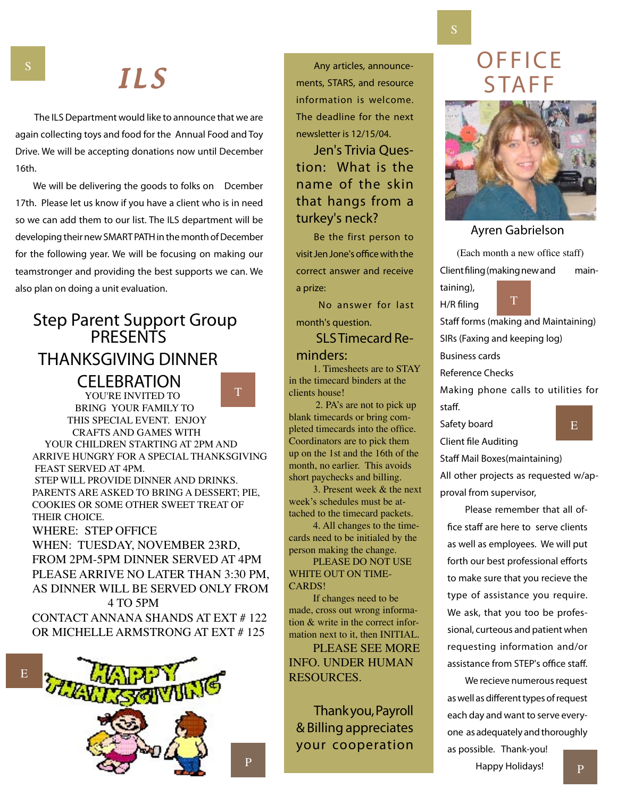## I L S

 **The ILS Department would like to announce that we are again collecting toys and food for the Annual Food and Toy Drive. We will be accepting donations now until December 16th.** 

**We will be delivering the goods to folks on Dcember 17th. Please let us know if you have a client who is in need so we can add them to our list. The ILS department will be developing their new SMART PATH in the month of December for the following year. We will be focusing on making our teamstronger and providing the best supports we can. We also plan on doing a unit evaluation.**

#### **Step Parent Support Group PRESENTS**  *THANKSGIVING DINNER*

 *CELEBRATION* YOU'RE INVITED TO

T

 BRING YOUR FAMILY TO THIS SPECIAL EVENT. ENJOY CRAFTS AND GAMES WITH YOUR CHILDREN STARTING AT 2PM AND ARRIVE HUNGRY FOR A SPECIAL THANKSGIVING FEAST SERVED AT 4PM. STEP WILL PROVIDE DINNER AND DRINKS. PARENTS ARE ASKED TO BRING A DESSERT; PIE, COOKIES OR SOME OTHER SWEET TREAT OF

WHERE: STEP OFFICE WHEN: TUESDAY, NOVEMBER 23RD, FROM 2PM-5PM DINNER SERVED AT 4PM PLEASE ARRIVE NO LATER THAN 3:30 PM, AS DINNER WILL BE SERVED ONLY FROM

THEIR CHOICE.

 4 TO 5PM CONTACT ANNANA SHANDS AT EXT # 122 OR MICHELLE ARMSTRONG AT EXT # 125



**Any articles, announcements, STARS, and resource information is welcome. The deadline for the next newsletter is 12/15/04.**

**Jen's Trivia Question: What is the name of the skin that hangs from a turkey's neck?**

**Be the first person to visit Jen Jone's office with the correct answer and receive a prize:** 

 **No answer for last month's question.**

 **SLS Timecard Reminders:**

1. Timesheets are to STAY in the timecard binders at the clients house!

 2. PA's are not to pick up blank timecards or bring completed timecards into the office. Coordinators are to pick them up on the 1st and the 16th of the month, no earlier. This avoids short paychecks and billing.

3. Present week & the next week's schedules must be attached to the timecard packets.

4. All changes to the timecards need to be initialed by the person making the change.

PLEASE DO NOT USE WHITE OUT ON TIME-CARDS!

If changes need to be made, cross out wrong information & write in the correct information next to it, then INITIAL.

PLEASE SEE MORE INFO. UNDER HUMAN RESOURCES.

**Thank you, Payroll & Billing appreciates your cooperation** 

P

**OFFICE STAFF** 



#### *Ayren Gabrielson*

(Each month a new office staff) **Client filing (making new and maintaining), H/R filing** T

**Staff forms (making and Maintaining) SIRs (Faxing and keeping log)**

**Business cards**

**Reference Checks**

**Making phone calls to utilities for staff.**

**Safety board Client file Auditing**

**Staff Mail Boxes(maintaining)**

**All other projects as requested w/approval from supervisor,**

**Please remember that all office staff are here to serve clients as well as employees. We will put forth our best professional efforts to make sure that you recieve the type of assistance you require. We ask, that you too be professional, curteous and patient when requesting information and/or assistance from STEP's office staff.**

**We recieve numerous request as well as different types of request each day and want to serve everyone as adequately and thoroughly as possible. Thank-you!** 

 **Happy Holidays!**

P

S

S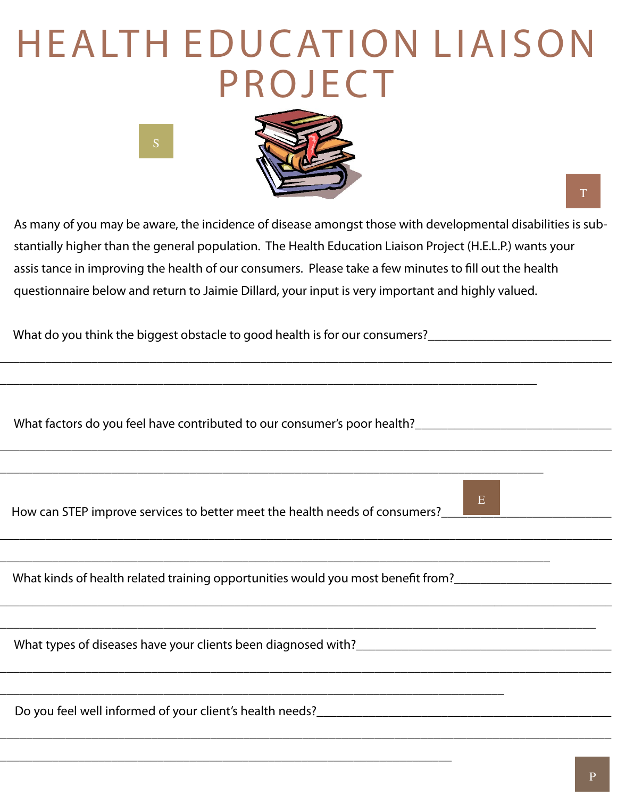# H E A LT H E D U C AT I O N L I A I S O N **P ROJECT**



 *As many of you may be aware, the incidence of disease amongst those with developmental disabilities is sub stantially higher than the general population. The Health Education Liaison Project (H.E.L.P.) wants your assis tance in improving the health of our consumers. Please take a few minutes to fill out the health questionnaire below and return to Jaimie Dillard, your input is very important and highly valued.* 

*\_\_\_\_\_\_\_\_\_\_\_\_\_\_\_\_\_\_\_\_\_\_\_\_\_\_\_\_\_\_\_\_\_\_\_\_\_\_\_\_\_\_\_\_\_\_\_\_\_\_\_\_\_\_\_\_\_\_\_\_\_\_\_\_\_\_\_\_\_\_\_\_\_\_\_\_\_\_\_\_\_\_\_\_\_\_\_\_\_\_\_\_\_\_*

*\_\_\_\_\_\_\_\_\_\_\_\_\_\_\_\_\_\_\_\_\_\_\_\_\_\_\_\_\_\_\_\_\_\_\_\_\_\_\_\_\_\_\_\_\_\_\_\_\_\_\_\_\_\_\_\_\_\_\_\_\_\_\_\_\_\_\_\_\_\_\_\_\_\_\_\_\_\_\_\_\_\_\_\_\_\_\_\_\_\_\_\_\_\_*

*\_\_\_\_\_\_\_\_\_\_\_\_\_\_\_\_\_\_\_\_\_\_\_\_\_\_\_\_\_\_\_\_\_\_\_\_\_\_\_\_\_\_\_\_\_\_\_\_\_\_\_\_\_\_\_\_\_\_\_\_\_\_\_\_\_\_\_\_\_\_\_\_\_\_\_\_\_\_\_\_\_\_\_\_\_\_\_\_\_\_\_\_\_\_*

*\_\_\_\_\_\_\_\_\_\_\_\_\_\_\_\_\_\_\_\_\_\_\_\_\_\_\_\_\_\_\_\_\_\_\_\_\_\_\_\_\_\_\_\_\_\_\_\_\_\_\_\_\_\_\_\_\_\_\_\_\_\_\_\_\_\_\_\_\_\_\_\_\_\_\_\_\_\_\_\_\_\_\_\_\_\_\_\_\_\_\_\_\_\_*

*\_\_\_\_\_\_\_\_\_\_\_\_\_\_\_\_\_\_\_\_\_\_\_\_\_\_\_\_\_\_\_\_\_\_\_\_\_\_\_\_\_\_\_\_\_\_\_\_\_\_\_\_\_\_\_\_\_\_\_\_\_\_\_\_\_\_\_\_\_\_\_\_\_\_\_\_\_\_\_\_\_\_\_\_\_\_\_\_\_\_\_\_\_*

*\_\_\_\_\_\_\_\_\_\_\_\_\_\_\_\_\_\_\_\_\_\_\_\_\_\_\_\_\_\_\_\_\_\_\_\_\_\_\_\_\_\_\_\_\_\_\_\_\_\_\_\_\_\_\_\_\_\_\_\_\_\_\_\_\_\_\_\_\_\_\_\_\_\_\_\_\_\_\_\_\_\_\_\_\_\_\_\_\_\_\_\_\_*

*\_\_\_\_\_\_\_\_\_\_\_\_\_\_\_\_\_\_\_\_\_\_\_\_\_\_\_\_\_\_\_\_\_\_\_\_\_\_\_\_\_\_\_\_\_\_\_\_\_\_\_\_\_\_\_\_\_\_\_\_\_\_\_\_\_\_\_\_\_\_\_\_\_\_\_\_\_\_\_\_\_\_\_\_\_\_\_\_\_\_\_*

*\_\_\_\_\_\_\_\_\_\_\_\_\_\_\_\_\_\_\_\_\_\_\_\_\_\_\_\_\_\_\_\_\_\_\_\_\_\_\_\_\_\_\_\_\_\_\_\_\_\_\_\_\_\_\_\_\_\_\_\_\_\_\_\_\_\_\_\_\_\_\_\_\_\_\_\_\_\_\_\_\_\_*

*\_\_\_\_\_\_\_\_\_\_\_\_\_\_\_\_\_\_\_\_\_\_\_\_\_\_\_\_\_\_\_\_\_\_\_\_\_\_\_\_\_\_\_\_\_\_\_\_\_\_\_\_\_\_\_\_\_\_\_\_\_\_\_\_\_\_\_\_\_\_\_\_\_\_\_\_\_\_\_\_\_\_\_*

*\_\_\_\_\_\_\_\_\_\_\_\_\_\_\_\_\_\_\_\_\_\_\_\_\_\_\_\_\_\_\_\_\_\_\_\_\_\_\_\_\_\_\_\_\_\_\_\_\_\_\_\_\_\_\_\_\_\_\_\_\_\_\_\_\_\_\_\_\_\_\_\_\_\_\_\_\_\_\_\_\_\_\_\_*

 *What do you think the biggest obstacle to good health is for our consumers?\_\_\_\_\_\_\_\_\_\_\_\_\_\_\_\_\_\_\_\_\_\_\_\_\_\_\_\_*

S

 *What factors do you feel have contributed to our consumer's poor health?\_\_\_\_\_\_\_\_\_\_\_\_\_\_\_\_\_\_\_\_\_\_\_\_\_\_\_\_\_\_*

How can STEP improve services to better meet the health needs of consumers?<sup>1</sup>

 *What kinds of health related training opportunities would you most benefit from?\_\_\_\_\_\_\_\_\_\_\_\_\_\_\_\_\_\_\_\_\_\_\_\_*

*\_\_\_\_\_\_\_\_\_\_\_\_\_\_\_\_\_\_\_\_\_\_\_\_\_\_\_\_\_\_\_\_\_\_\_\_\_\_\_\_\_\_\_\_\_\_\_\_\_\_\_\_\_\_\_\_\_\_\_\_\_\_\_\_\_\_\_\_\_\_\_\_\_\_\_\_\_*

*\_\_\_\_\_\_\_\_\_\_\_\_\_\_\_\_\_\_\_\_\_\_\_\_\_\_\_\_\_\_\_\_\_\_\_\_\_\_\_\_\_\_\_\_\_\_\_\_\_\_\_\_\_\_\_\_\_\_\_\_\_\_\_\_\_\_\_\_\_*

What types of diseases have your clients been diagnosed with?<br>

*Do you feel well informed of your client's health needs?* 

T

E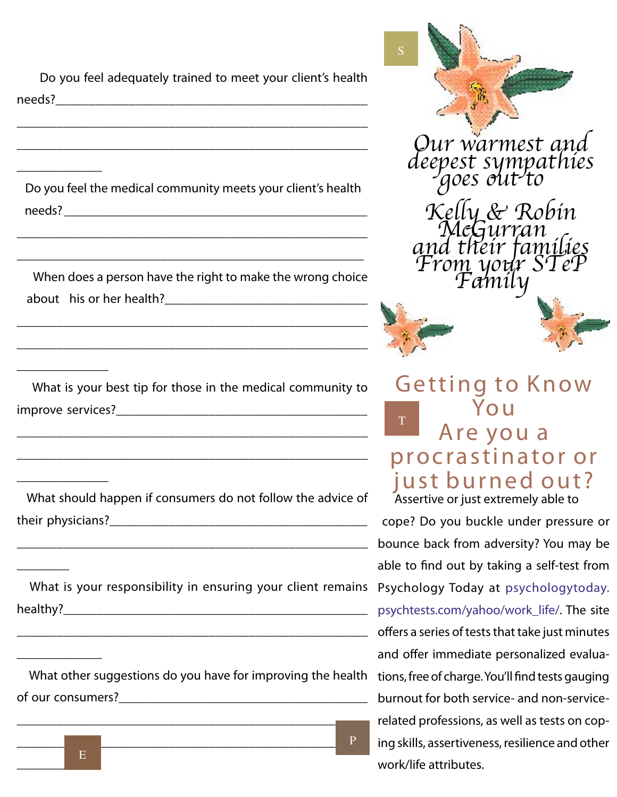*Do you feel adequately trained to meet your client's health needs?\_\_\_\_\_\_\_\_\_\_\_\_\_\_\_\_\_\_\_\_\_\_\_\_\_\_\_\_\_\_\_\_\_\_\_\_\_\_\_\_\_\_\_\_\_\_\_*

*\_\_\_\_\_\_\_\_\_\_\_\_\_\_\_\_\_\_\_\_\_\_\_\_\_\_\_\_\_\_\_\_\_\_\_\_\_\_\_\_\_\_\_\_\_\_\_\_\_\_\_\_\_*

*\_\_\_\_\_\_\_\_\_\_\_\_\_\_\_\_\_\_\_\_\_\_\_\_\_\_\_\_\_\_\_\_\_\_\_\_\_\_\_\_\_\_\_\_\_\_\_\_\_\_\_\_\_*

*\_\_\_\_\_\_\_\_\_\_\_\_\_*

*\_\_\_\_\_\_\_\_\_\_\_\_\_\_*

*\_\_\_\_\_\_\_\_\_\_\_\_\_\_*

*\_\_\_\_\_\_\_\_*

*\_\_\_\_\_\_\_\_\_\_\_\_\_*

 *Do you feel the medical community meets your client's health*  needs?

*\_\_\_\_\_\_\_\_\_\_\_\_\_\_\_\_\_\_\_\_\_\_\_\_\_\_\_\_\_\_\_\_\_\_\_\_\_\_\_\_\_\_\_\_\_\_\_\_\_\_\_\_\_\_*

*\_\_\_\_\_\_\_\_\_\_\_\_\_\_\_\_\_\_\_\_\_\_\_\_\_\_\_\_\_\_\_\_\_\_\_\_\_\_\_\_\_\_\_\_\_\_\_\_\_\_\_\_\_*

 *When does a person have the right to make the wrong choice*  about his or her health?

*\_\_\_\_\_\_\_\_\_\_\_\_\_\_\_\_\_\_\_\_\_\_\_\_\_\_\_\_\_\_\_\_\_\_\_\_\_\_\_\_\_\_\_\_\_\_\_\_\_\_\_\_\_*

*\_\_\_\_\_\_\_\_\_\_\_\_\_\_\_\_\_\_\_\_\_\_\_\_\_\_\_\_\_\_\_\_\_\_\_\_\_\_\_\_\_\_\_\_\_\_\_\_\_\_\_\_\_*

 *What is your best tip for those in the medical community to improve services?* 

*\_\_\_\_\_\_\_\_\_\_\_\_\_\_\_\_\_\_\_\_\_\_\_\_\_\_\_\_\_\_\_\_\_\_\_\_\_\_\_\_\_\_\_\_\_\_\_\_\_\_\_\_\_*

*\_\_\_\_\_\_\_\_\_\_\_\_\_\_\_\_\_\_\_\_\_\_\_\_\_\_\_\_\_\_\_\_\_\_\_\_\_\_\_\_\_\_\_\_\_\_\_\_\_\_\_\_\_*

 *What should happen if consumers do not follow the advice of their physicians?* 

*\_\_\_\_\_\_\_\_\_\_\_\_\_\_\_\_\_\_\_\_\_\_\_\_\_\_\_\_\_\_\_\_\_\_\_\_\_\_\_\_\_\_\_\_\_\_\_\_\_\_\_\_\_*

What is your responsibility in ensuring your client remains Psychology Today at psychologytoday. *healthy?\_\_\_\_\_\_\_\_\_\_\_\_\_\_\_\_\_\_\_\_\_\_\_\_\_\_\_\_\_\_\_\_\_\_\_\_\_\_\_\_\_\_\_\_\_\_*

*\_\_\_\_\_\_\_\_\_\_\_\_\_\_\_\_\_\_\_\_\_\_\_\_\_\_\_\_\_\_\_\_\_\_\_\_\_\_\_\_\_\_\_\_\_\_\_\_\_\_\_\_\_*

 *What other suggestions do you have for improving the health*  of our consumers?

*\_\_\_\_\_\_\_\_\_\_\_\_\_\_\_\_\_\_\_\_\_\_\_\_\_\_\_\_\_\_\_\_\_\_\_\_\_\_\_\_\_\_\_\_\_\_\_\_\_\_\_\_\_*





S

Our warmest and<br>deepest sympathies

Kelly & R and their fami<br>From your ST<br>Family



Getting to Know Yo u Are you a procrastinator or just burned out?  *Assertive or just extremely able to*  T

 *cope? Do you buckle under pressure or bounce back from adversity? You may be able to find out by taking a self-test from psychtests.com/yahoo/work\_life/. The site offers a series of tests that take just minutes and offer immediate personalized evaluations, free of charge. You'll find tests gauging burnout for both service- and non-servicerelated professions, as well as tests on coping skills, assertiveness, resilience and other work/life attributes.*